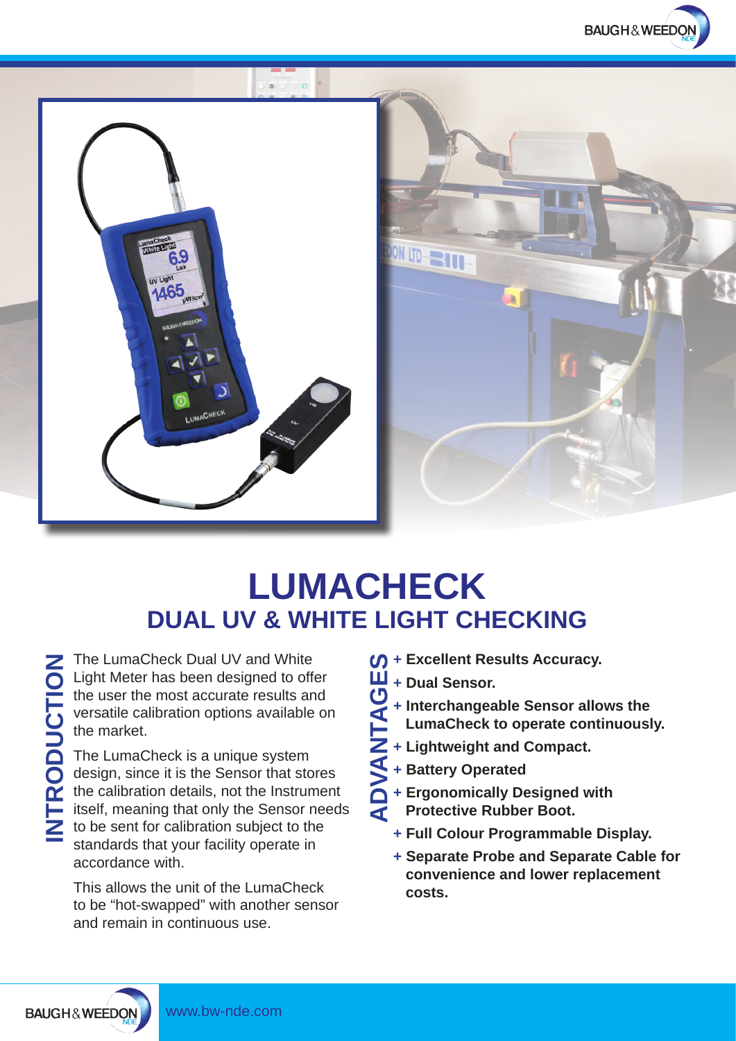



## **DUAL UV & WHITE LIGHT CHECKING LUMACHECK**

The LumaCheck Dual UV and White Light Meter has been designed to offer the user the most accurate results and versatile calibration options available on the market.

The LumaCheck is a unique system design, since it is the Sensor that stores the calibration details, not the Instrument itself, meaning that only the Sensor needs to be sent for calibration subject to the standards that your facility operate in accordance with.

This allows the unit of the LumaCheck to be "hot-swapped" with another sensor and remain in continuous use.

- **+ Excellent Results Accuracy. ADVANTAGES**
- **+ Dual Sensor.**
	- **+ Interchangeable Sensor allows the**
	- **LumaCheck to operate continuously.**
- **+ Lightweight and Compact.**
	- **+ Battery Operated**
- **1 + Ergonomically Designed with** 
	- **Protective Rubber Boot.**
	- **+ Full Colour Programmable Display.**
	- **+ Separate Probe and Separate Cable for convenience and lower replacement costs.**

**INTRODUCTION**

**BAUGH&WEEDON**